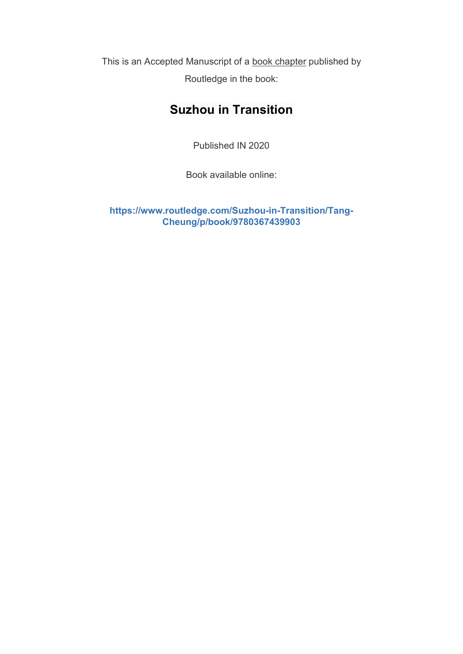This is an Accepted Manuscript of a book chapter published by Routledge in the book:

# **Suzhou in Transition**

Published IN 2020

Book available online:

**[https://www.routledge.com/Suzhou-in-Transition/Tang-](https://www.routledge.com/Suzhou-in-Transition/Tang-Cheung/p/book/9780367439903)[Cheung/p/book/9780367439903](https://www.routledge.com/Suzhou-in-Transition/Tang-Cheung/p/book/9780367439903)**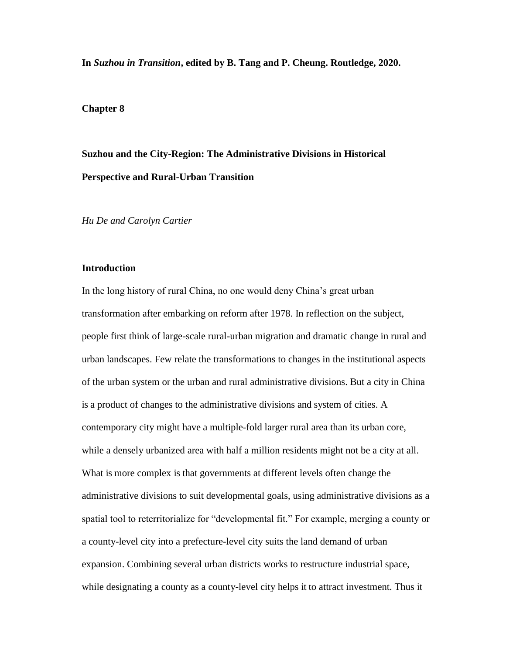**In** *Suzhou in Transition***, edited by B. Tang and P. Cheung. Routledge, 2020.**

# **Chapter 8**

# **Suzhou and the City-Region: The Administrative Divisions in Historical Perspective and Rural-Urban Transition**

*Hu De and Carolyn Cartier*

# **Introduction**

In the long history of rural China, no one would deny China's great urban transformation after embarking on reform after 1978. In reflection on the subject, people first think of large-scale rural-urban migration and dramatic change in rural and urban landscapes. Few relate the transformations to changes in the institutional aspects of the urban system or the urban and rural administrative divisions. But a city in China is a product of changes to the administrative divisions and system of cities. A contemporary city might have a multiple-fold larger rural area than its urban core, while a densely urbanized area with half a million residents might not be a city at all. What is more complex is that governments at different levels often change the administrative divisions to suit developmental goals, using administrative divisions as a spatial tool to reterritorialize for "developmental fit." For example, merging a county or a county-level city into a prefecture-level city suits the land demand of urban expansion. Combining several urban districts works to restructure industrial space, while designating a county as a county-level city helps it to attract investment. Thus it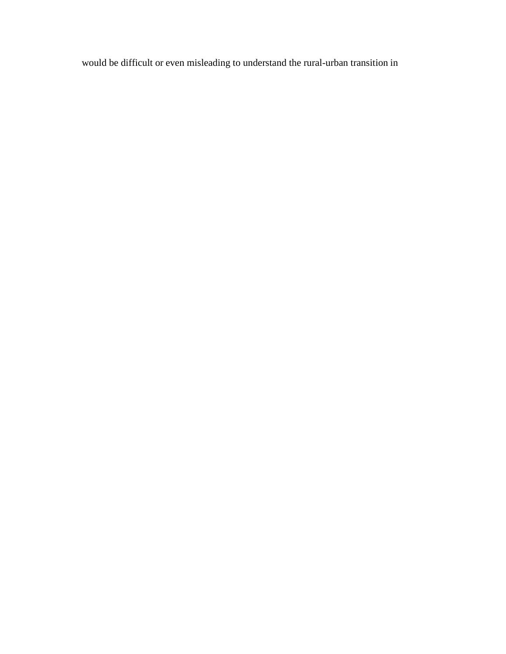would be difficult or even misleading to understand the rural-urban transition in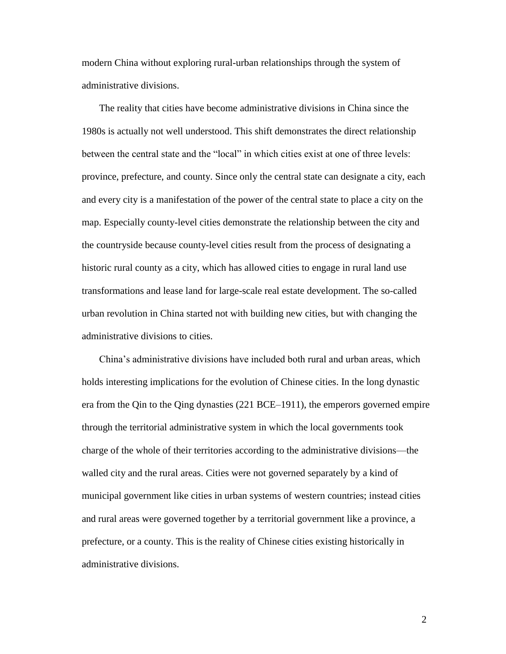modern China without exploring rural-urban relationships through the system of administrative divisions.

The reality that cities have become administrative divisions in China since the 1980s is actually not well understood. This shift demonstrates the direct relationship between the central state and the "local" in which cities exist at one of three levels: province, prefecture, and county. Since only the central state can designate a city, each and every city is a manifestation of the power of the central state to place a city on the map. Especially county-level cities demonstrate the relationship between the city and the countryside because county-level cities result from the process of designating a historic rural county as a city, which has allowed cities to engage in rural land use transformations and lease land for large-scale real estate development. The so-called urban revolution in China started not with building new cities, but with changing the administrative divisions to cities.

China's administrative divisions have included both rural and urban areas, which holds interesting implications for the evolution of Chinese cities. In the long dynastic era from the Qin to the Qing dynasties (221 BCE–1911), the emperors governed empire through the territorial administrative system in which the local governments took charge of the whole of their territories according to the administrative divisions—the walled city and the rural areas. Cities were not governed separately by a kind of municipal government like cities in urban systems of western countries; instead cities and rural areas were governed together by a territorial government like a province, a prefecture, or a county. This is the reality of Chinese cities existing historically in administrative divisions.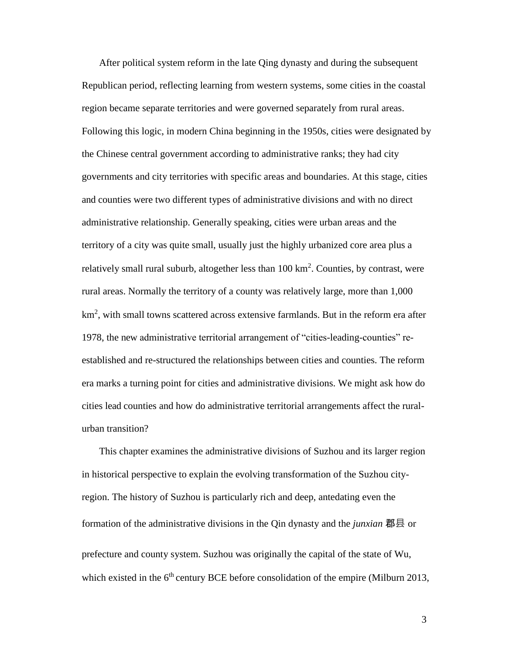After political system reform in the late Qing dynasty and during the subsequent Republican period, reflecting learning from western systems, some cities in the coastal region became separate territories and were governed separately from rural areas. Following this logic, in modern China beginning in the 1950s, cities were designated by the Chinese central government according to administrative ranks; they had city governments and city territories with specific areas and boundaries. At this stage, cities and counties were two different types of administrative divisions and with no direct administrative relationship. Generally speaking, cities were urban areas and the territory of a city was quite small, usually just the highly urbanized core area plus a relatively small rural suburb, altogether less than  $100 \text{ km}^2$ . Counties, by contrast, were rural areas. Normally the territory of a county was relatively large, more than 1,000 km<sup>2</sup>, with small towns scattered across extensive farmlands. But in the reform era after 1978, the new administrative territorial arrangement of "cities-leading-counties" reestablished and re-structured the relationships between cities and counties. The reform era marks a turning point for cities and administrative divisions. We might ask how do cities lead counties and how do administrative territorial arrangements affect the ruralurban transition?

This chapter examines the administrative divisions of Suzhou and its larger region in historical perspective to explain the evolving transformation of the Suzhou cityregion. The history of Suzhou is particularly rich and deep, antedating even the formation of the administrative divisions in the Qin dynasty and the *junxian* 郡县 or prefecture and county system. Suzhou was originally the capital of the state of Wu, which existed in the  $6<sup>th</sup>$  century BCE before consolidation of the empire (Milburn 2013,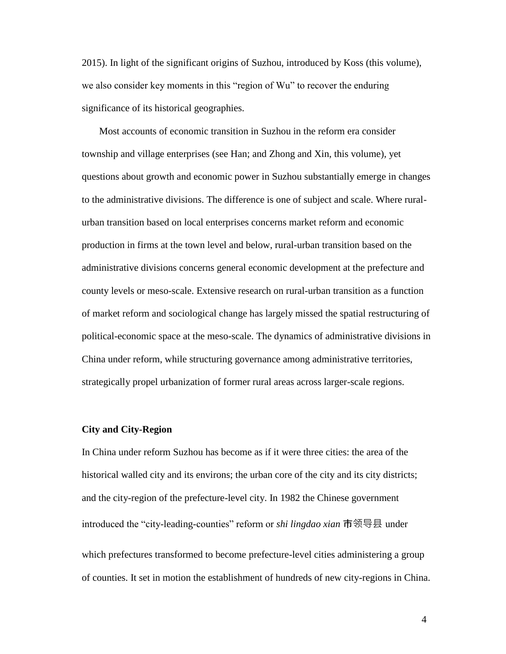2015). In light of the significant origins of Suzhou, introduced by Koss (this volume), we also consider key moments in this "region of Wu" to recover the enduring significance of its historical geographies.

Most accounts of economic transition in Suzhou in the reform era consider township and village enterprises (see Han; and Zhong and Xin, this volume), yet questions about growth and economic power in Suzhou substantially emerge in changes to the administrative divisions. The difference is one of subject and scale. Where ruralurban transition based on local enterprises concerns market reform and economic production in firms at the town level and below, rural-urban transition based on the administrative divisions concerns general economic development at the prefecture and county levels or meso-scale. Extensive research on rural-urban transition as a function of market reform and sociological change has largely missed the spatial restructuring of political-economic space at the meso-scale. The dynamics of administrative divisions in China under reform, while structuring governance among administrative territories, strategically propel urbanization of former rural areas across larger-scale regions.

### **City and City-Region**

In China under reform Suzhou has become as if it were three cities: the area of the historical walled city and its environs; the urban core of the city and its city districts; and the city-region of the prefecture-level city. In 1982 the Chinese government introduced the "city-leading-counties" reform or *shi lingdao xian* 市领导县 under which prefectures transformed to become prefecture-level cities administering a group of counties. It set in motion the establishment of hundreds of new city-regions in China.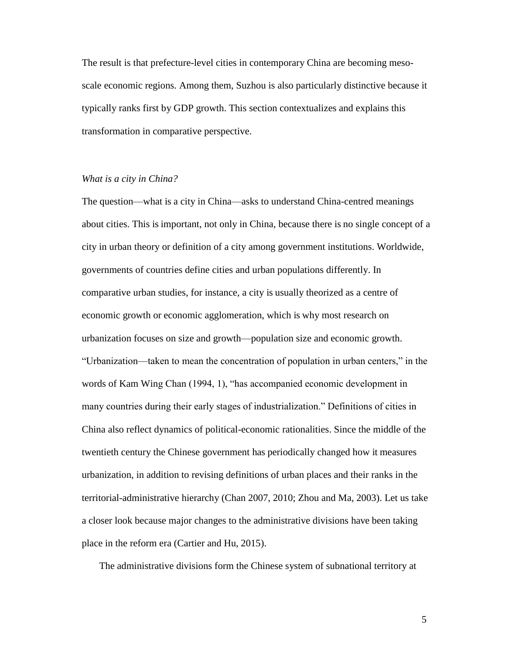The result is that prefecture-level cities in contemporary China are becoming mesoscale economic regions. Among them, Suzhou is also particularly distinctive because it typically ranks first by GDP growth. This section contextualizes and explains this transformation in comparative perspective.

# *What is a city in China?*

The question—what is a city in China—asks to understand China-centred meanings about cities. This is important, not only in China, because there is no single concept of a city in urban theory or definition of a city among government institutions. Worldwide, governments of countries define cities and urban populations differently. In comparative urban studies, for instance, a city is usually theorized as a centre of economic growth or economic agglomeration, which is why most research on urbanization focuses on size and growth—population size and economic growth. "Urbanization—taken to mean the concentration of population in urban centers," in the words of Kam Wing Chan (1994, 1), "has accompanied economic development in many countries during their early stages of industrialization." Definitions of cities in China also reflect dynamics of political-economic rationalities. Since the middle of the twentieth century the Chinese government has periodically changed how it measures urbanization, in addition to revising definitions of urban places and their ranks in the territorial-administrative hierarchy (Chan 2007, 2010; Zhou and Ma, 2003). Let us take a closer look because major changes to the administrative divisions have been taking place in the reform era (Cartier and Hu, 2015).

The administrative divisions form the Chinese system of subnational territory at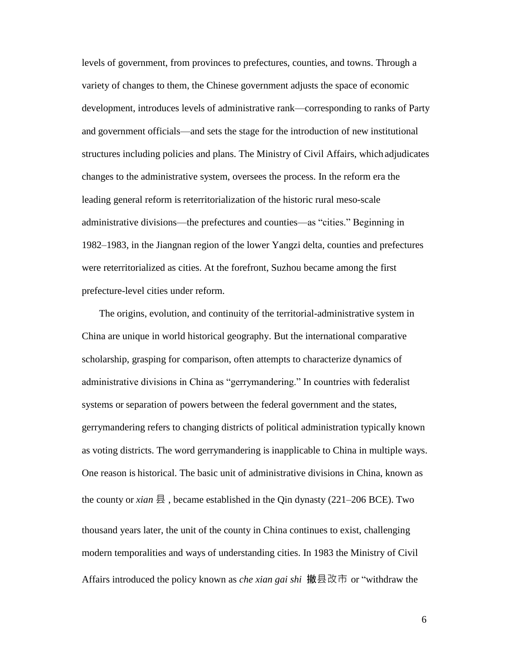levels of government, from provinces to prefectures, counties, and towns. Through a variety of changes to them, the Chinese government adjusts the space of economic development, introduces levels of administrative rank—corresponding to ranks of Party and government officials—and sets the stage for the introduction of new institutional structures including policies and plans. The Ministry of Civil Affairs, which adjudicates changes to the administrative system, oversees the process. In the reform era the leading general reform is reterritorialization of the historic rural meso-scale administrative divisions—the prefectures and counties—as "cities." Beginning in 1982–1983, in the Jiangnan region of the lower Yangzi delta, counties and prefectures were reterritorialized as cities. At the forefront, Suzhou became among the first prefecture-level cities under reform.

The origins, evolution, and continuity of the territorial-administrative system in China are unique in world historical geography. But the international comparative scholarship, grasping for comparison, often attempts to characterize dynamics of administrative divisions in China as "gerrymandering." In countries with federalist systems or separation of powers between the federal government and the states, gerrymandering refers to changing districts of political administration typically known as voting districts. The word gerrymandering is inapplicable to China in multiple ways. One reason is historical. The basic unit of administrative divisions in China, known as the county or *xian* 县, became established in the Qin dynasty (221–206 BCE). Two thousand years later, the unit of the county in China continues to exist, challenging modern temporalities and ways of understanding cities. In 1983 the Ministry of Civil Affairs introduced the policy known as *che xian gai shi* 撤县改市 or "withdraw the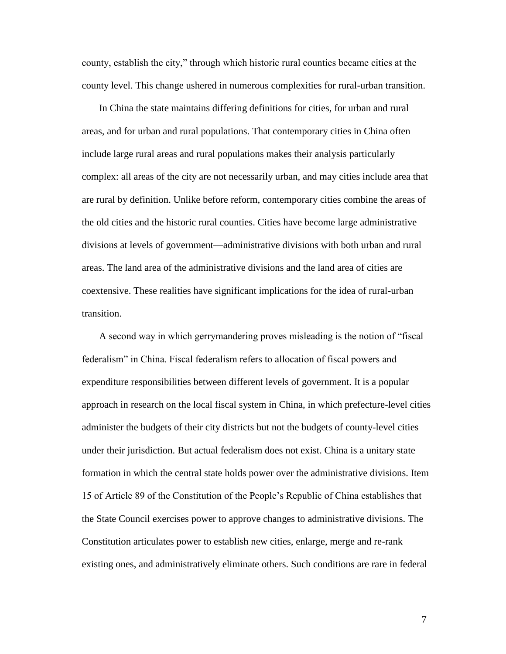county, establish the city," through which historic rural counties became cities at the county level. This change ushered in numerous complexities for rural-urban transition.

In China the state maintains differing definitions for cities, for urban and rural areas, and for urban and rural populations. That contemporary cities in China often include large rural areas and rural populations makes their analysis particularly complex: all areas of the city are not necessarily urban, and may cities include area that are rural by definition. Unlike before reform, contemporary cities combine the areas of the old cities and the historic rural counties. Cities have become large administrative divisions at levels of government—administrative divisions with both urban and rural areas. The land area of the administrative divisions and the land area of cities are coextensive. These realities have significant implications for the idea of rural-urban transition.

A second way in which gerrymandering proves misleading is the notion of "fiscal federalism" in China. Fiscal federalism refers to allocation of fiscal powers and expenditure responsibilities between different levels of government. It is a popular approach in research on the local fiscal system in China, in which prefecture-level cities administer the budgets of their city districts but not the budgets of county-level cities under their jurisdiction. But actual federalism does not exist. China is a unitary state formation in which the central state holds power over the administrative divisions. Item 15 of Article 89 of the Constitution of the People's Republic of China establishes that the State Council exercises power to approve changes to administrative divisions. The Constitution articulates power to establish new cities, enlarge, merge and re-rank existing ones, and administratively eliminate others. Such conditions are rare in federal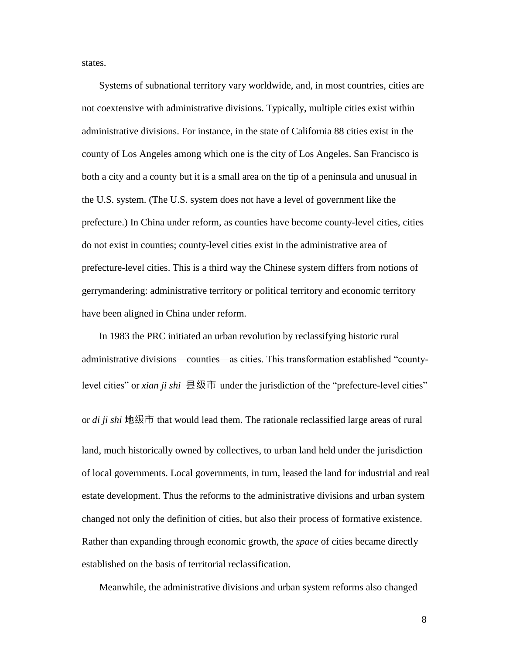states.

Systems of subnational territory vary worldwide, and, in most countries, cities are not coextensive with administrative divisions. Typically, multiple cities exist within administrative divisions. For instance, in the state of California 88 cities exist in the county of Los Angeles among which one is the city of Los Angeles. San Francisco is both a city and a county but it is a small area on the tip of a peninsula and unusual in the U.S. system. (The U.S. system does not have a level of government like the prefecture.) In China under reform, as counties have become county-level cities, cities do not exist in counties; county-level cities exist in the administrative area of prefecture-level cities. This is a third way the Chinese system differs from notions of gerrymandering: administrative territory or political territory and economic territory have been aligned in China under reform.

In 1983 the PRC initiated an urban revolution by reclassifying historic rural administrative divisions—counties—as cities. This transformation established "countylevel cities" or *xian ji shi* 县级市 under the jurisdiction of the "prefecture-level cities" or *di ji shi* 地级市 that would lead them. The rationale reclassified large areas of rural land, much historically owned by collectives, to urban land held under the jurisdiction of local governments. Local governments, in turn, leased the land for industrial and real estate development. Thus the reforms to the administrative divisions and urban system changed not only the definition of cities, but also their process of formative existence. Rather than expanding through economic growth, the *space* of cities became directly established on the basis of territorial reclassification.

Meanwhile, the administrative divisions and urban system reforms also changed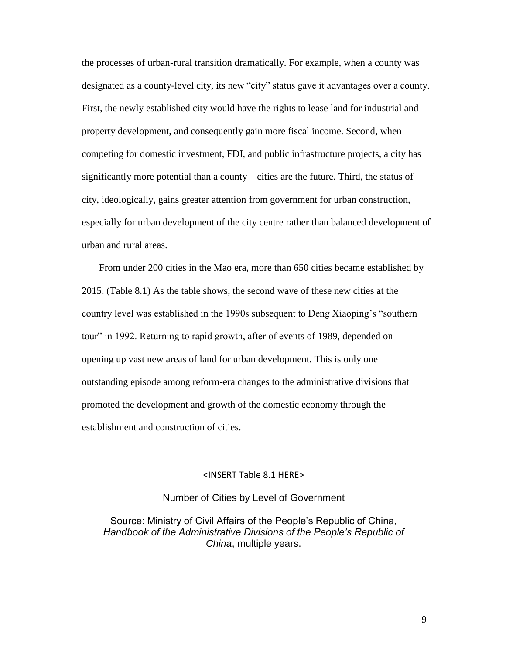the processes of urban-rural transition dramatically. For example, when a county was designated as a county-level city, its new "city" status gave it advantages over a county. First, the newly established city would have the rights to lease land for industrial and property development, and consequently gain more fiscal income. Second, when competing for domestic investment, FDI, and public infrastructure projects, a city has significantly more potential than a county—cities are the future. Third, the status of city, ideologically, gains greater attention from government for urban construction, especially for urban development of the city centre rather than balanced development of urban and rural areas.

From under 200 cities in the Mao era, more than 650 cities became established by 2015. (Table 8.1) As the table shows, the second wave of these new cities at the country level was established in the 1990s subsequent to Deng Xiaoping's "southern tour" in 1992. Returning to rapid growth, after of events of 1989, depended on opening up vast new areas of land for urban development. This is only one outstanding episode among reform-era changes to the administrative divisions that promoted the development and growth of the domestic economy through the establishment and construction of cities.

### <INSERT Table 8.1 HERE>

### Number of Cities by Level of Government

Source: Ministry of Civil Affairs of the People's Republic of China, *Handbook of the Administrative Divisions of the People's Republic of China*, multiple years.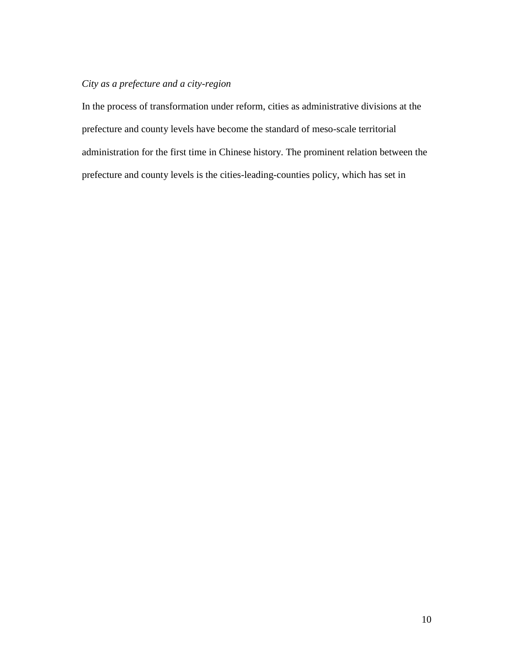# *City as a prefecture and a city-region*

In the process of transformation under reform, cities as administrative divisions at the prefecture and county levels have become the standard of meso-scale territorial administration for the first time in Chinese history. The prominent relation between the prefecture and county levels is the cities-leading-counties policy, which has set in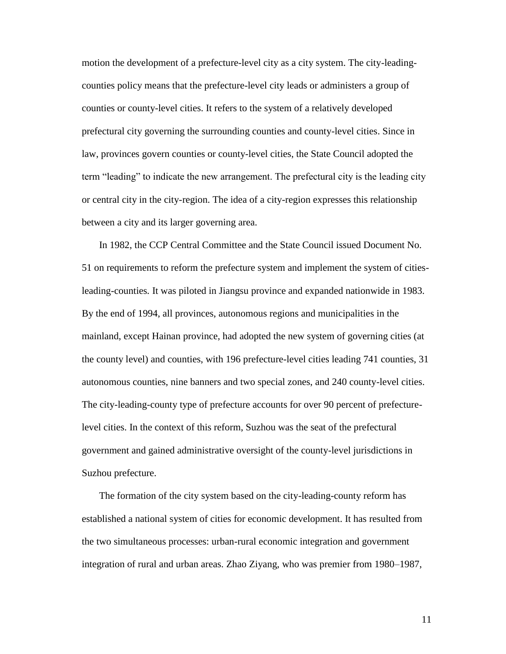motion the development of a prefecture-level city as a city system. The city-leadingcounties policy means that the prefecture-level city leads or administers a group of counties or county-level cities. It refers to the system of a relatively developed prefectural city governing the surrounding counties and county-level cities. Since in law, provinces govern counties or county-level cities, the State Council adopted the term "leading" to indicate the new arrangement. The prefectural city is the leading city or central city in the city-region. The idea of a city-region expresses this relationship between a city and its larger governing area.

In 1982, the CCP Central Committee and the State Council issued Document No. 51 on requirements to reform the prefecture system and implement the system of citiesleading-counties*.* It was piloted in Jiangsu province and expanded nationwide in 1983. By the end of 1994, all provinces, autonomous regions and municipalities in the mainland, except Hainan province, had adopted the new system of governing cities (at the county level) and counties, with 196 prefecture-level cities leading 741 counties, 31 autonomous counties, nine banners and two special zones, and 240 county-level cities. The city-leading-county type of prefecture accounts for over 90 percent of prefecturelevel cities. In the context of this reform, Suzhou was the seat of the prefectural government and gained administrative oversight of the county-level jurisdictions in Suzhou prefecture.

The formation of the city system based on the city-leading-county reform has established a national system of cities for economic development. It has resulted from the two simultaneous processes: urban-rural economic integration and government integration of rural and urban areas. Zhao Ziyang, who was premier from 1980–1987,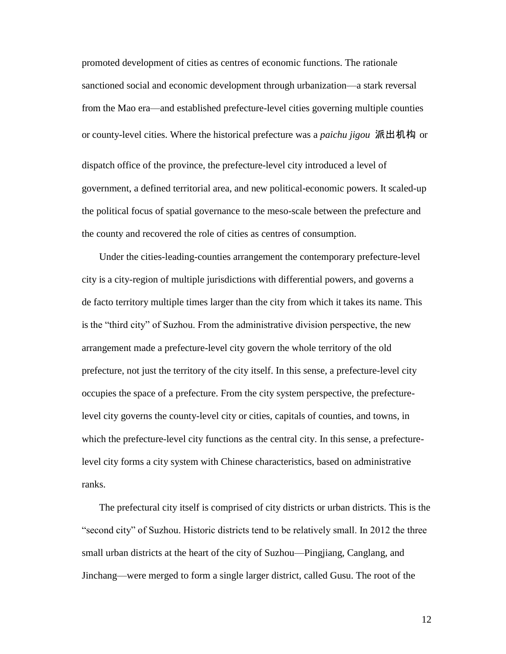promoted development of cities as centres of economic functions. The rationale sanctioned social and economic development through urbanization—a stark reversal from the Mao era—and established prefecture-level cities governing multiple counties or county-level cities. Where the historical prefecture was a *paichu jigou* 派出机构 or dispatch office of the province, the prefecture-level city introduced a level of government, a defined territorial area, and new political-economic powers. It scaled-up the political focus of spatial governance to the meso-scale between the prefecture and the county and recovered the role of cities as centres of consumption.

Under the cities-leading-counties arrangement the contemporary prefecture-level city is a city-region of multiple jurisdictions with differential powers, and governs a de facto territory multiple times larger than the city from which it takes its name. This is the "third city" of Suzhou. From the administrative division perspective, the new arrangement made a prefecture-level city govern the whole territory of the old prefecture, not just the territory of the city itself. In this sense, a prefecture-level city occupies the space of a prefecture. From the city system perspective, the prefecturelevel city governs the county-level city or cities, capitals of counties, and towns, in which the prefecture-level city functions as the central city. In this sense, a prefecturelevel city forms a city system with Chinese characteristics, based on administrative ranks.

The prefectural city itself is comprised of city districts or urban districts. This is the "second city" of Suzhou. Historic districts tend to be relatively small. In 2012 the three small urban districts at the heart of the city of Suzhou—Pingjiang, Canglang, and Jinchang—were merged to form a single larger district, called Gusu. The root of the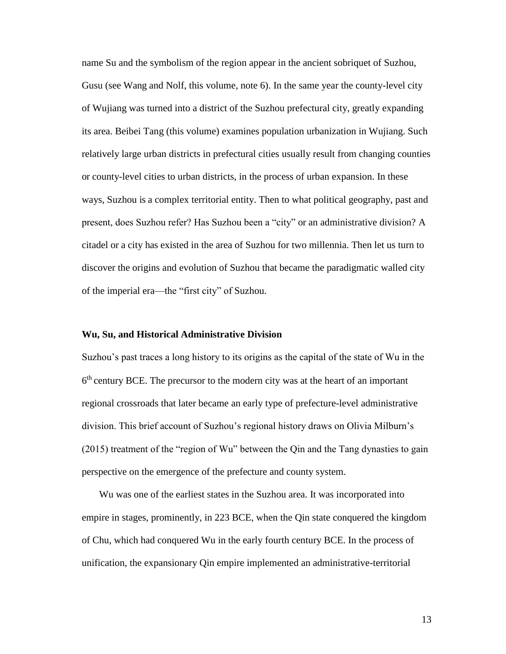name Su and the symbolism of the region appear in the ancient sobriquet of Suzhou, Gusu (see Wang and Nolf, this volume, note 6). In the same year the county-level city of Wujiang was turned into a district of the Suzhou prefectural city, greatly expanding its area. Beibei Tang (this volume) examines population urbanization in Wujiang. Such relatively large urban districts in prefectural cities usually result from changing counties or county-level cities to urban districts, in the process of urban expansion. In these ways, Suzhou is a complex territorial entity. Then to what political geography, past and present, does Suzhou refer? Has Suzhou been a "city" or an administrative division? A citadel or a city has existed in the area of Suzhou for two millennia. Then let us turn to discover the origins and evolution of Suzhou that became the paradigmatic walled city of the imperial era—the "first city" of Suzhou.

### **Wu, Su, and Historical Administrative Division**

Suzhou's past traces a long history to its origins as the capital of the state of Wu in the  $6<sup>th</sup>$  century BCE. The precursor to the modern city was at the heart of an important regional crossroads that later became an early type of prefecture-level administrative division. This brief account of Suzhou's regional history draws on Olivia Milburn's (2015) treatment of the "region of Wu" between the Qin and the Tang dynasties to gain perspective on the emergence of the prefecture and county system.

Wu was one of the earliest states in the Suzhou area. It was incorporated into empire in stages, prominently, in 223 BCE, when the Qin state conquered the kingdom of Chu, which had conquered Wu in the early fourth century BCE. In the process of unification, the expansionary Qin empire implemented an administrative-territorial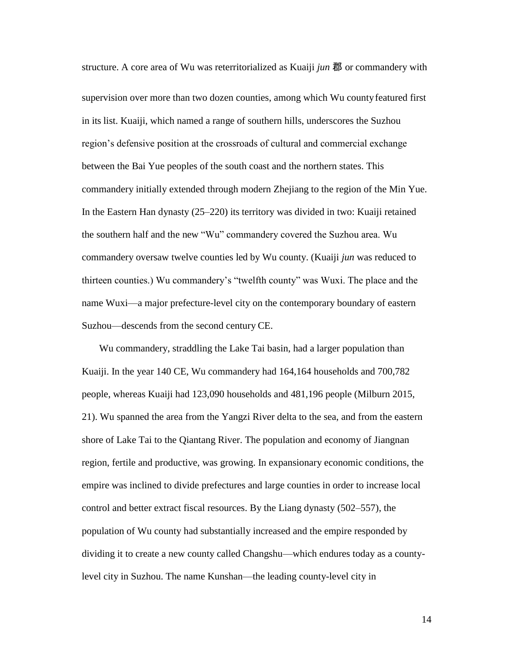structure. A core area of Wu was reterritorialized as Kuaiji *jun* 郡 or commandery with supervision over more than two dozen counties, among which Wu countyfeatured first in its list. Kuaiji, which named a range of southern hills, underscores the Suzhou region's defensive position at the crossroads of cultural and commercial exchange between the Bai Yue peoples of the south coast and the northern states. This commandery initially extended through modern Zhejiang to the region of the Min Yue. In the Eastern Han dynasty (25–220) its territory was divided in two: Kuaiji retained the southern half and the new "Wu" commandery covered the Suzhou area. Wu commandery oversaw twelve counties led by Wu county. (Kuaiji *jun* was reduced to thirteen counties.) Wu commandery's "twelfth county" was Wuxi. The place and the name Wuxi—a major prefecture-level city on the contemporary boundary of eastern Suzhou—descends from the second century CE.

Wu commandery, straddling the Lake Tai basin, had a larger population than Kuaiji. In the year 140 CE, Wu commandery had 164,164 households and 700,782 people, whereas Kuaiji had 123,090 households and 481,196 people (Milburn 2015, 21). Wu spanned the area from the Yangzi River delta to the sea, and from the eastern shore of Lake Tai to the Qiantang River. The population and economy of Jiangnan region, fertile and productive, was growing. In expansionary economic conditions, the empire was inclined to divide prefectures and large counties in order to increase local control and better extract fiscal resources. By the Liang dynasty (502–557), the population of Wu county had substantially increased and the empire responded by dividing it to create a new county called Changshu—which endures today as a countylevel city in Suzhou. The name Kunshan—the leading county-level city in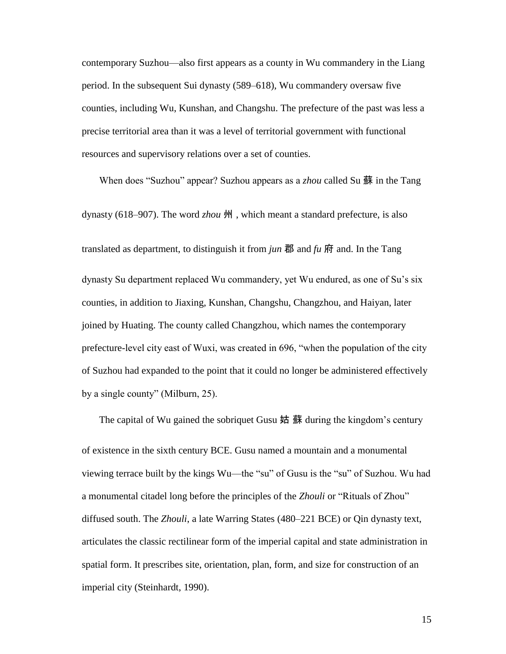contemporary Suzhou—also first appears as a county in Wu commandery in the Liang period. In the subsequent Sui dynasty (589–618), Wu commandery oversaw five counties, including Wu, Kunshan, and Changshu. The prefecture of the past was less a precise territorial area than it was a level of territorial government with functional resources and supervisory relations over a set of counties.

When does "Suzhou" appear? Suzhou appears as a *zhou* called Su 蘇 in the Tang dynasty (618–907). The word *zhou* 州 , which meant a standard prefecture, is also translated as department, to distinguish it from *jun* 郡 and  $\mu$  府 and. In the Tang dynasty Su department replaced Wu commandery, yet Wu endured, as one of Su's six counties, in addition to Jiaxing, Kunshan, Changshu, Changzhou, and Haiyan, later joined by Huating. The county called Changzhou, which names the contemporary prefecture-level city east of Wuxi, was created in 696, "when the population of the city of Suzhou had expanded to the point that it could no longer be administered effectively by a single county" (Milburn, 25).

of existence in the sixth century BCE. Gusu named a mountain and a monumental viewing terrace built by the kings Wu—the "su" of Gusu is the "su" of Suzhou. Wu had a monumental citadel long before the principles of the *Zhouli* or "Rituals of Zhou" diffused south. The *Zhouli*, a late Warring States (480–221 BCE) or Qin dynasty text, articulates the classic rectilinear form of the imperial capital and state administration in spatial form. It prescribes site, orientation, plan, form, and size for construction of an imperial city (Steinhardt, 1990).

The capital of Wu gained the sobriquet Gusu  $\frac{1}{m}$   $\frac{1}{m}$  during the kingdom's century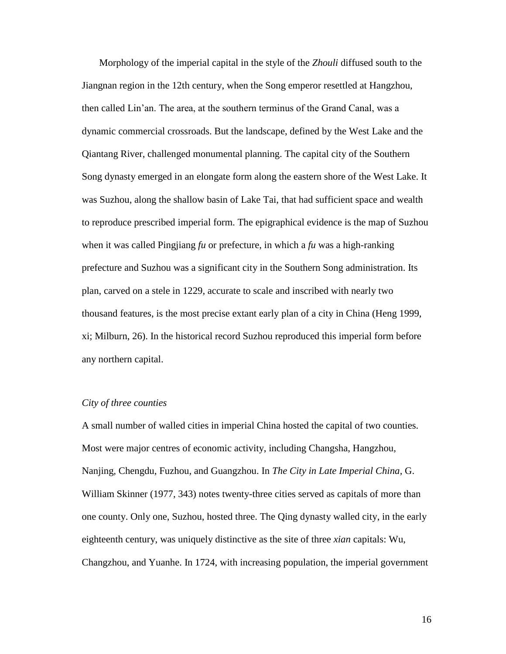Morphology of the imperial capital in the style of the *Zhouli* diffused south to the Jiangnan region in the 12th century, when the Song emperor resettled at Hangzhou, then called Lin'an. The area, at the southern terminus of the Grand Canal, was a dynamic commercial crossroads. But the landscape, defined by the West Lake and the Qiantang River, challenged monumental planning. The capital city of the Southern Song dynasty emerged in an elongate form along the eastern shore of the West Lake. It was Suzhou, along the shallow basin of Lake Tai, that had sufficient space and wealth to reproduce prescribed imperial form. The epigraphical evidence is the map of Suzhou when it was called Pingjiang *fu* or prefecture, in which a *fu* was a high-ranking prefecture and Suzhou was a significant city in the Southern Song administration. Its plan, carved on a stele in 1229, accurate to scale and inscribed with nearly two thousand features, is the most precise extant early plan of a city in China (Heng 1999, xi; Milburn, 26). In the historical record Suzhou reproduced this imperial form before any northern capital.

### *City of three counties*

A small number of walled cities in imperial China hosted the capital of two counties. Most were major centres of economic activity, including Changsha, Hangzhou, Nanjing, Chengdu, Fuzhou, and Guangzhou. In *The City in Late Imperial China*, G. William Skinner (1977, 343) notes twenty-three cities served as capitals of more than one county. Only one, Suzhou, hosted three. The Qing dynasty walled city, in the early eighteenth century, was uniquely distinctive as the site of three *xian* capitals: Wu, Changzhou, and Yuanhe. In 1724, with increasing population, the imperial government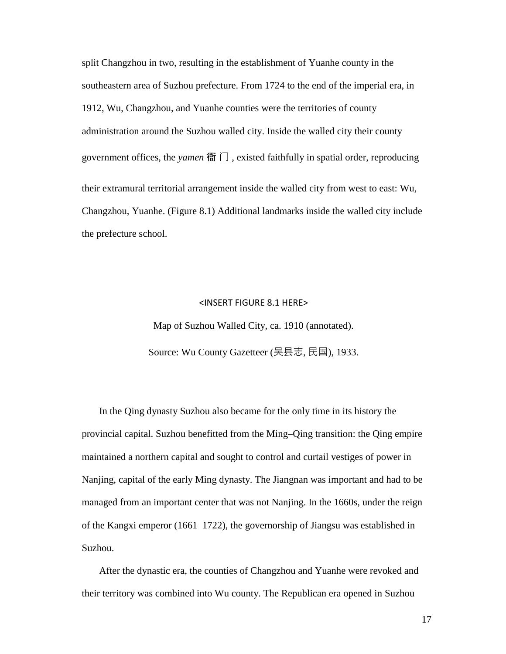split Changzhou in two, resulting in the establishment of Yuanhe county in the southeastern area of Suzhou prefecture. From 1724 to the end of the imperial era, in 1912, Wu, Changzhou, and Yuanhe counties were the territories of county administration around the Suzhou walled city. Inside the walled city their county government offices, the *yamen* 衙 门 , existed faithfully in spatial order, reproducing their extramural territorial arrangement inside the walled city from west to east: Wu, Changzhou, Yuanhe. (Figure 8.1) Additional landmarks inside the walled city include the prefecture school.

#### <INSERT FIGURE 8.1 HERE>

Map of Suzhou Walled City, ca. 1910 (annotated). Source: Wu County Gazetteer (吴县志, 民国), 1933.

In the Qing dynasty Suzhou also became for the only time in its history the provincial capital. Suzhou benefitted from the Ming–Qing transition: the Qing empire maintained a northern capital and sought to control and curtail vestiges of power in Nanjing, capital of the early Ming dynasty. The Jiangnan was important and had to be managed from an important center that was not Nanjing. In the 1660s, under the reign of the Kangxi emperor (1661–1722), the governorship of Jiangsu was established in Suzhou.

After the dynastic era, the counties of Changzhou and Yuanhe were revoked and their territory was combined into Wu county. The Republican era opened in Suzhou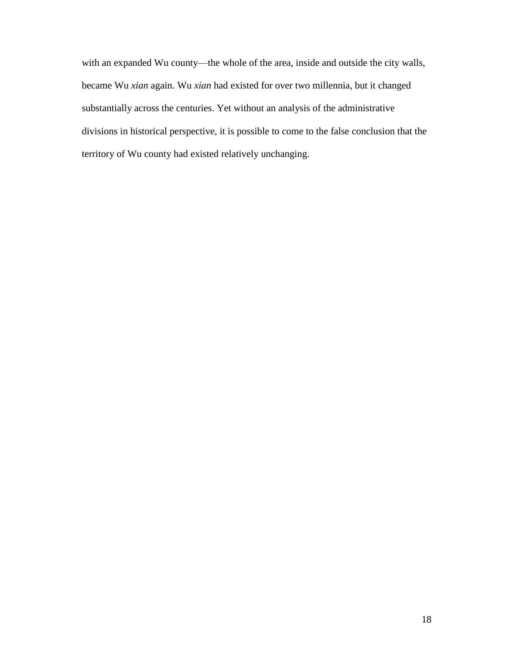with an expanded Wu county—the whole of the area, inside and outside the city walls, became Wu *xian* again. Wu *xian* had existed for over two millennia, but it changed substantially across the centuries. Yet without an analysis of the administrative divisions in historical perspective, it is possible to come to the false conclusion that the territory of Wu county had existed relatively unchanging.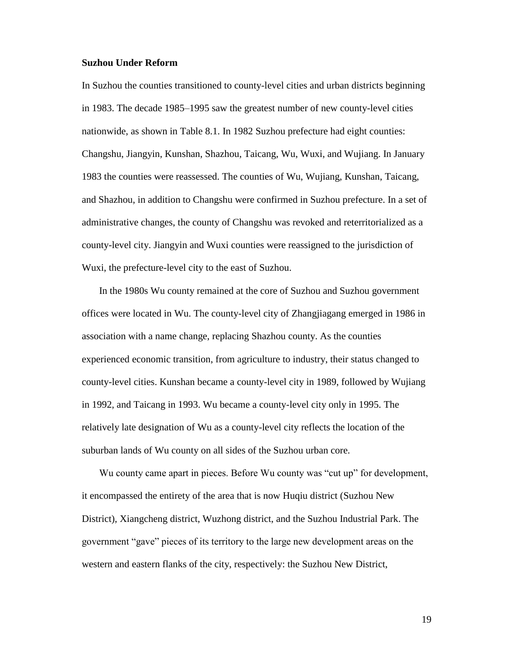### **Suzhou Under Reform**

In Suzhou the counties transitioned to county-level cities and urban districts beginning in 1983. The decade 1985–1995 saw the greatest number of new county-level cities nationwide, as shown in Table 8.1. In 1982 Suzhou prefecture had eight counties: Changshu, Jiangyin, Kunshan, Shazhou, Taicang, Wu, Wuxi, and Wujiang. In January 1983 the counties were reassessed. The counties of Wu, Wujiang, Kunshan, Taicang, and Shazhou, in addition to Changshu were confirmed in Suzhou prefecture. In a set of administrative changes, the county of Changshu was revoked and reterritorialized as a county-level city. Jiangyin and Wuxi counties were reassigned to the jurisdiction of Wuxi, the prefecture-level city to the east of Suzhou.

In the 1980s Wu county remained at the core of Suzhou and Suzhou government offices were located in Wu. The county-level city of Zhangjiagang emerged in 1986 in association with a name change, replacing Shazhou county. As the counties experienced economic transition, from agriculture to industry, their status changed to county-level cities. Kunshan became a county-level city in 1989, followed by Wujiang in 1992, and Taicang in 1993. Wu became a county-level city only in 1995. The relatively late designation of Wu as a county-level city reflects the location of the suburban lands of Wu county on all sides of the Suzhou urban core.

Wu county came apart in pieces. Before Wu county was "cut up" for development, it encompassed the entirety of the area that is now Huqiu district (Suzhou New District), Xiangcheng district, Wuzhong district, and the Suzhou Industrial Park. The government "gave" pieces of its territory to the large new development areas on the western and eastern flanks of the city, respectively: the Suzhou New District,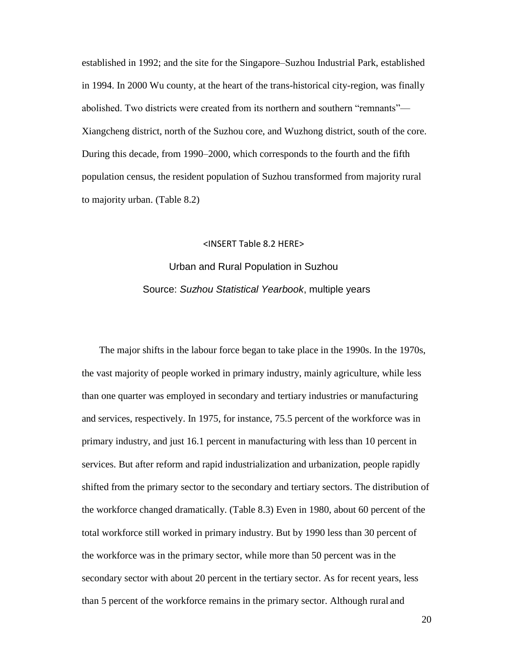established in 1992; and the site for the Singapore–Suzhou Industrial Park, established in 1994. In 2000 Wu county, at the heart of the trans-historical city-region, was finally abolished. Two districts were created from its northern and southern "remnants"— Xiangcheng district, north of the Suzhou core, and Wuzhong district, south of the core. During this decade, from 1990–2000, which corresponds to the fourth and the fifth population census, the resident population of Suzhou transformed from majority rural to majority urban. (Table 8.2)

### <INSERT Table 8.2 HERE>

# Urban and Rural Population in Suzhou Source: *Suzhou Statistical Yearbook*, multiple years

The major shifts in the labour force began to take place in the 1990s. In the 1970s, the vast majority of people worked in primary industry, mainly agriculture, while less than one quarter was employed in secondary and tertiary industries or manufacturing and services, respectively. In 1975, for instance, 75.5 percent of the workforce was in primary industry, and just 16.1 percent in manufacturing with less than 10 percent in services. But after reform and rapid industrialization and urbanization, people rapidly shifted from the primary sector to the secondary and tertiary sectors. The distribution of the workforce changed dramatically. (Table 8.3) Even in 1980, about 60 percent of the total workforce still worked in primary industry. But by 1990 less than 30 percent of the workforce was in the primary sector, while more than 50 percent was in the secondary sector with about 20 percent in the tertiary sector. As for recent years, less than 5 percent of the workforce remains in the primary sector. Although rural and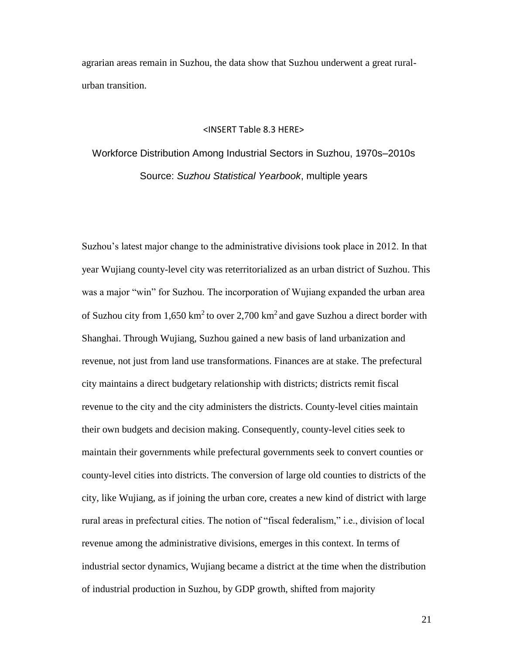agrarian areas remain in Suzhou, the data show that Suzhou underwent a great ruralurban transition.

#### <INSERT Table 8.3 HERE>

Workforce Distribution Among Industrial Sectors in Suzhou, 1970s–2010s Source: *Suzhou Statistical Yearbook*, multiple years

Suzhou's latest major change to the administrative divisions took place in 2012. In that year Wujiang county-level city was reterritorialized as an urban district of Suzhou. This was a major "win" for Suzhou. The incorporation of Wujiang expanded the urban area of Suzhou city from 1,650 km<sup>2</sup> to over 2,700 km<sup>2</sup> and gave Suzhou a direct border with Shanghai. Through Wujiang, Suzhou gained a new basis of land urbanization and revenue, not just from land use transformations. Finances are at stake. The prefectural city maintains a direct budgetary relationship with districts; districts remit fiscal revenue to the city and the city administers the districts. County-level cities maintain their own budgets and decision making. Consequently, county-level cities seek to maintain their governments while prefectural governments seek to convert counties or county-level cities into districts. The conversion of large old counties to districts of the city, like Wujiang, as if joining the urban core, creates a new kind of district with large rural areas in prefectural cities. The notion of "fiscal federalism," i.e., division of local revenue among the administrative divisions, emerges in this context. In terms of industrial sector dynamics, Wujiang became a district at the time when the distribution of industrial production in Suzhou, by GDP growth, shifted from majority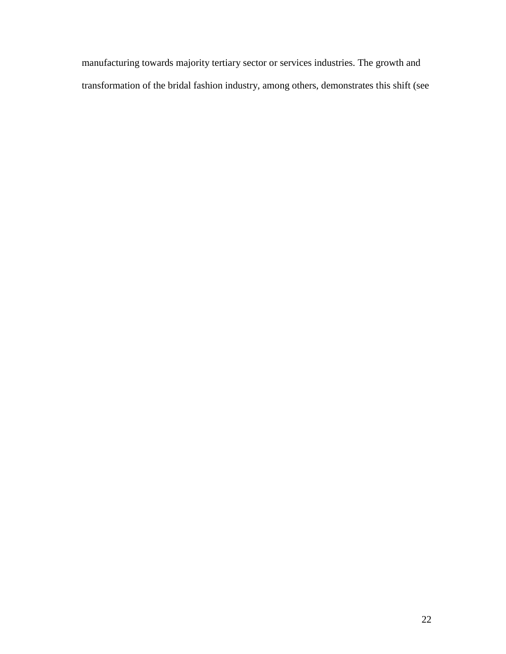manufacturing towards majority tertiary sector or services industries. The growth and transformation of the bridal fashion industry, among others, demonstrates this shift (see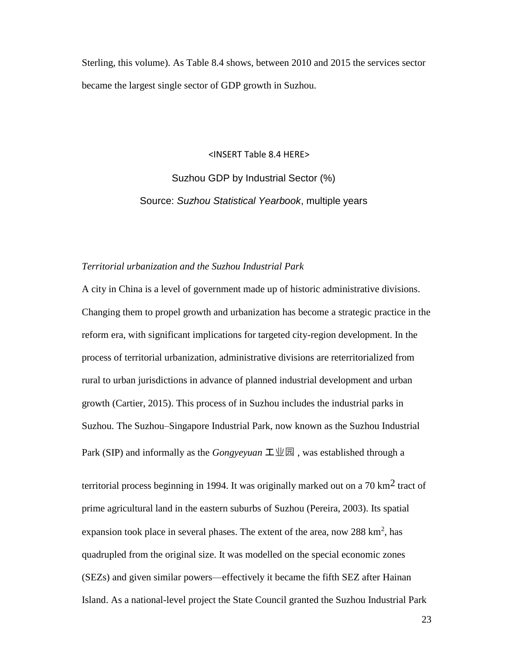Sterling, this volume). As Table 8.4 shows, between 2010 and 2015 the services sector became the largest single sector of GDP growth in Suzhou.

<INSERT Table 8.4 HERE>

Suzhou GDP by Industrial Sector (%) Source: *Suzhou Statistical Yearbook*, multiple years

### *Territorial urbanization and the Suzhou Industrial Park*

A city in China is a level of government made up of historic administrative divisions. Changing them to propel growth and urbanization has become a strategic practice in the reform era, with significant implications for targeted city-region development. In the process of territorial urbanization, administrative divisions are reterritorialized from rural to urban jurisdictions in advance of planned industrial development and urban growth (Cartier, 2015). This process of in Suzhou includes the industrial parks in Suzhou. The Suzhou–Singapore Industrial Park, now known as the Suzhou Industrial Park (SIP) and informally as the *Gongyeyuan*  $\mathbf{\mathcal{I}} \mathbf{\mathcal{I}} \mathbf{\mathcal{I}}$ , was established through a

territorial process beginning in 1994. It was originally marked out on a 70 km<sup>2</sup> tract of prime agricultural land in the eastern suburbs of Suzhou (Pereira, 2003). Its spatial expansion took place in several phases. The extent of the area, now 288  $\text{km}^2$ , has quadrupled from the original size. It was modelled on the special economic zones (SEZs) and given similar powers—effectively it became the fifth SEZ after Hainan Island. As a national-level project the State Council granted the Suzhou Industrial Park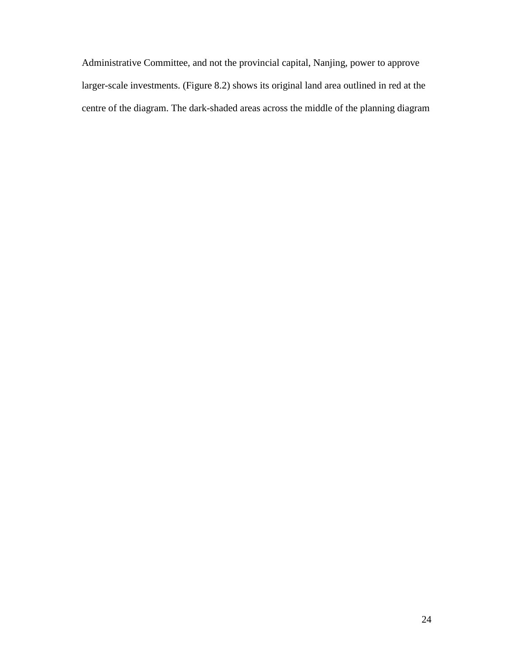Administrative Committee, and not the provincial capital, Nanjing, power to approve larger-scale investments. (Figure 8.2) shows its original land area outlined in red at the centre of the diagram. The dark-shaded areas across the middle of the planning diagram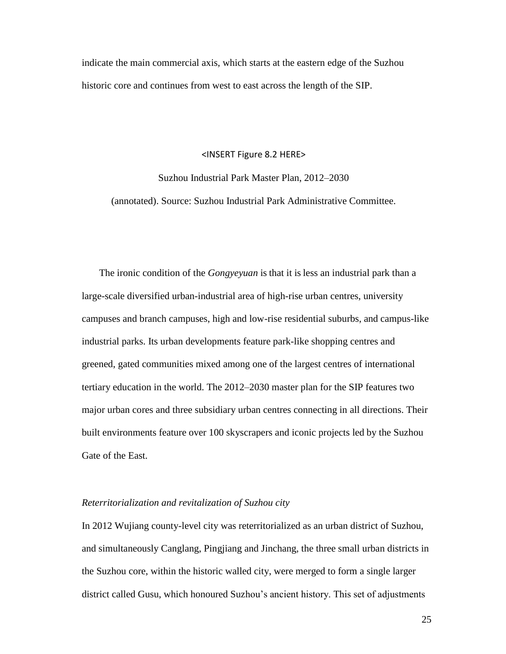indicate the main commercial axis, which starts at the eastern edge of the Suzhou historic core and continues from west to east across the length of the SIP.

### <INSERT Figure 8.2 HERE>

Suzhou Industrial Park Master Plan, 2012–2030

(annotated). Source: Suzhou Industrial Park Administrative Committee.

The ironic condition of the *Gongyeyuan* is that it is less an industrial park than a large-scale diversified urban-industrial area of high-rise urban centres, university campuses and branch campuses, high and low-rise residential suburbs, and campus-like industrial parks. Its urban developments feature park-like shopping centres and greened, gated communities mixed among one of the largest centres of international tertiary education in the world. The 2012–2030 master plan for the SIP features two major urban cores and three subsidiary urban centres connecting in all directions. Their built environments feature over 100 skyscrapers and iconic projects led by the Suzhou Gate of the East.

### *Reterritorialization and revitalization of Suzhou city*

In 2012 Wujiang county-level city was reterritorialized as an urban district of Suzhou, and simultaneously Canglang, Pingjiang and Jinchang, the three small urban districts in the Suzhou core, within the historic walled city, were merged to form a single larger district called Gusu, which honoured Suzhou's ancient history. This set of adjustments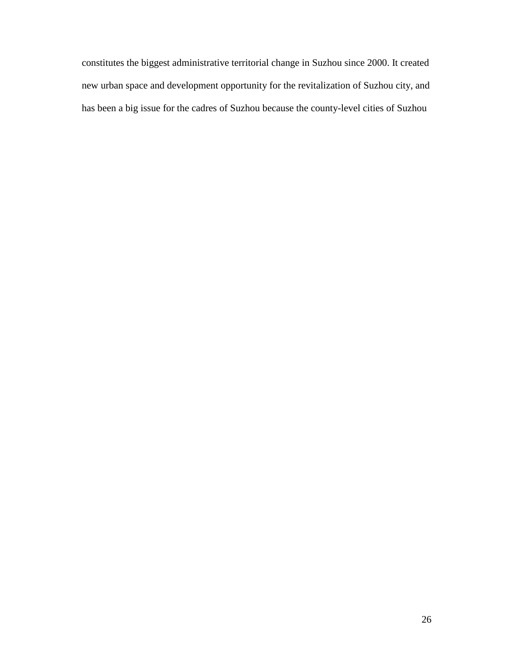constitutes the biggest administrative territorial change in Suzhou since 2000. It created new urban space and development opportunity for the revitalization of Suzhou city, and has been a big issue for the cadres of Suzhou because the county-level cities of Suzhou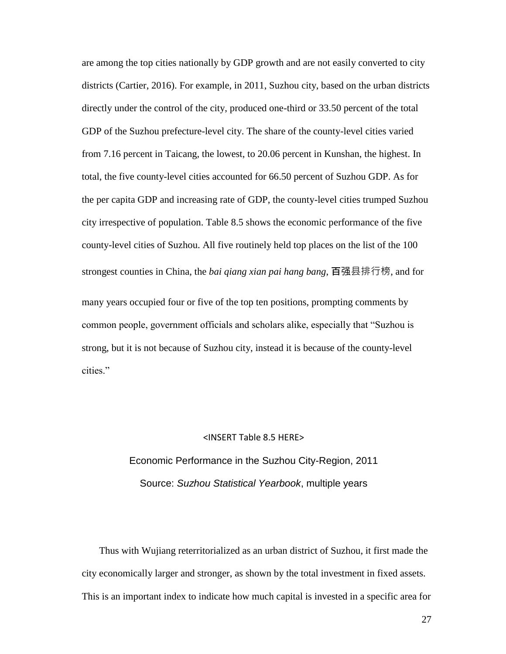are among the top cities nationally by GDP growth and are not easily converted to city districts (Cartier, 2016). For example, in 2011, Suzhou city, based on the urban districts directly under the control of the city, produced one-third or 33.50 percent of the total GDP of the Suzhou prefecture-level city. The share of the county-level cities varied from 7.16 percent in Taicang, the lowest, to 20.06 percent in Kunshan, the highest. In total, the five county-level cities accounted for 66.50 percent of Suzhou GDP. As for the per capita GDP and increasing rate of GDP, the county-level cities trumped Suzhou city irrespective of population. Table 8.5 shows the economic performance of the five county-level cities of Suzhou. All five routinely held top places on the list of the 100 strongest counties in China, the *bai qiang xian pai hang bang*, 百强县排行榜, and for many years occupied four or five of the top ten positions, prompting comments by common people, government officials and scholars alike, especially that "Suzhou is strong, but it is not because of Suzhou city, instead it is because of the county-level cities."

### <INSERT Table 8.5 HERE>

# Economic Performance in the Suzhou City-Region, 2011 Source: *Suzhou Statistical Yearbook*, multiple years

Thus with Wujiang reterritorialized as an urban district of Suzhou, it first made the city economically larger and stronger, as shown by the total investment in fixed assets. This is an important index to indicate how much capital is invested in a specific area for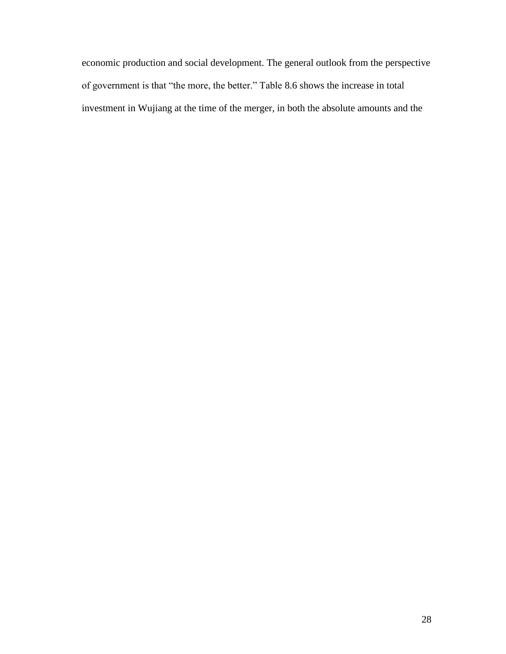economic production and social development. The general outlook from the perspective of government is that "the more, the better." Table 8.6 shows the increase in total investment in Wujiang at the time of the merger, in both the absolute amounts and the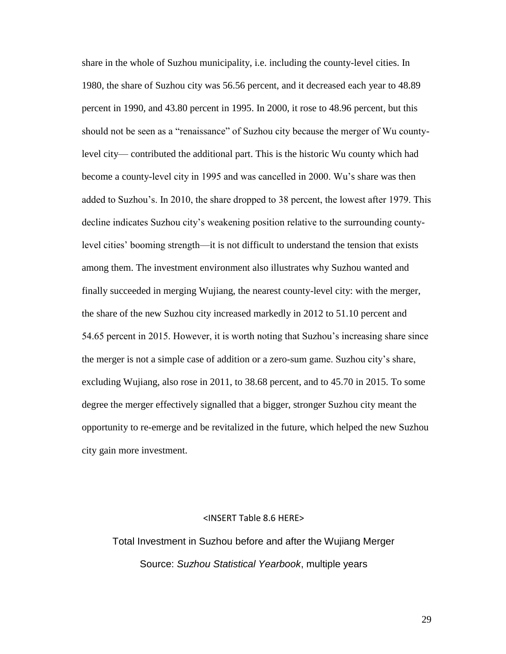share in the whole of Suzhou municipality, i.e. including the county-level cities. In 1980, the share of Suzhou city was 56.56 percent, and it decreased each year to 48.89 percent in 1990, and 43.80 percent in 1995. In 2000, it rose to 48.96 percent, but this should not be seen as a "renaissance" of Suzhou city because the merger of Wu countylevel city— contributed the additional part. This is the historic Wu county which had become a county-level city in 1995 and was cancelled in 2000. Wu's share was then added to Suzhou's. In 2010, the share dropped to 38 percent, the lowest after 1979. This decline indicates Suzhou city's weakening position relative to the surrounding countylevel cities' booming strength—it is not difficult to understand the tension that exists among them. The investment environment also illustrates why Suzhou wanted and finally succeeded in merging Wujiang, the nearest county-level city: with the merger, the share of the new Suzhou city increased markedly in 2012 to 51.10 percent and 54.65 percent in 2015. However, it is worth noting that Suzhou's increasing share since the merger is not a simple case of addition or a zero-sum game. Suzhou city's share, excluding Wujiang, also rose in 2011, to 38.68 percent, and to 45.70 in 2015. To some degree the merger effectively signalled that a bigger, stronger Suzhou city meant the opportunity to re-emerge and be revitalized in the future, which helped the new Suzhou city gain more investment.

### <INSERT Table 8.6 HERE>

Total Investment in Suzhou before and after the Wujiang Merger Source: *Suzhou Statistical Yearbook*, multiple years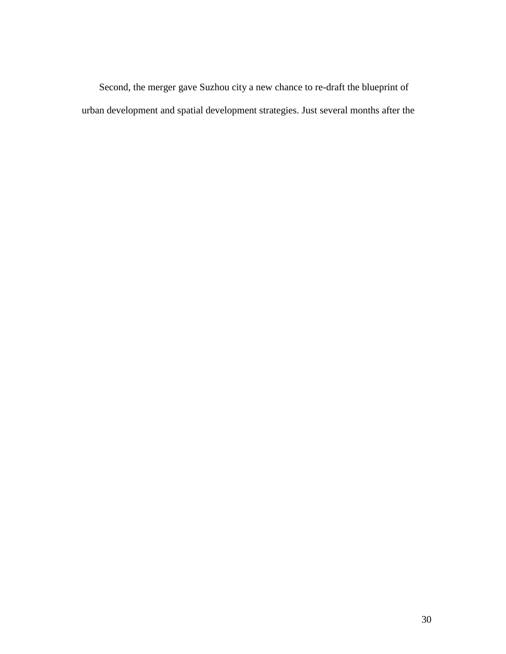Second, the merger gave Suzhou city a new chance to re-draft the blueprint of urban development and spatial development strategies. Just several months after the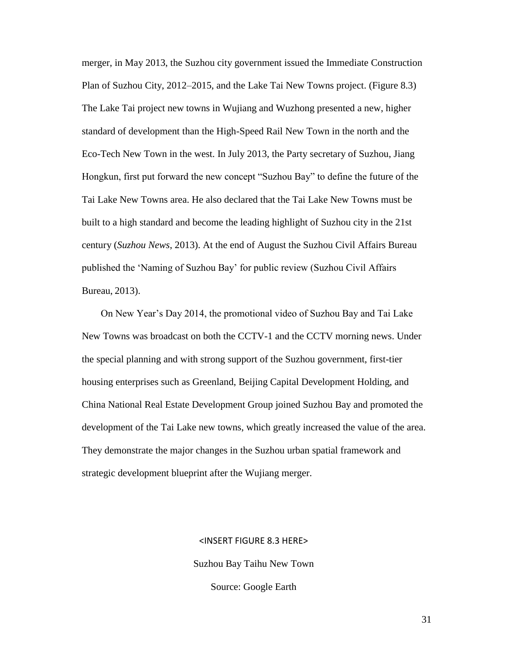merger, in May 2013, the Suzhou city government issued the Immediate Construction Plan of Suzhou City, 2012–2015, and the Lake Tai New Towns project. (Figure 8.3) The Lake Tai project new towns in Wujiang and Wuzhong presented a new, higher standard of development than the High-Speed Rail New Town in the north and the Eco-Tech New Town in the west. In July 2013, the Party secretary of Suzhou, Jiang Hongkun, first put forward the new concept "Suzhou Bay" to define the future of the Tai Lake New Towns area. He also declared that the Tai Lake New Towns must be built to a high standard and become the leading highlight of Suzhou city in the 21st century (*Suzhou News*, 2013). At the end of August the Suzhou Civil Affairs Bureau published the 'Naming of Suzhou Bay' for public review (Suzhou Civil Affairs Bureau, 2013).

On New Year's Day 2014, the promotional video of Suzhou Bay and Tai Lake New Towns was broadcast on both the CCTV-1 and the CCTV morning news. Under the special planning and with strong support of the Suzhou government, first-tier housing enterprises such as Greenland, Beijing Capital Development Holding, and China National Real Estate Development Group joined Suzhou Bay and promoted the development of the Tai Lake new towns, which greatly increased the value of the area. They demonstrate the major changes in the Suzhou urban spatial framework and strategic development blueprint after the Wujiang merger.

# <INSERT FIGURE 8.3 HERE> Suzhou Bay Taihu New Town Source: Google Earth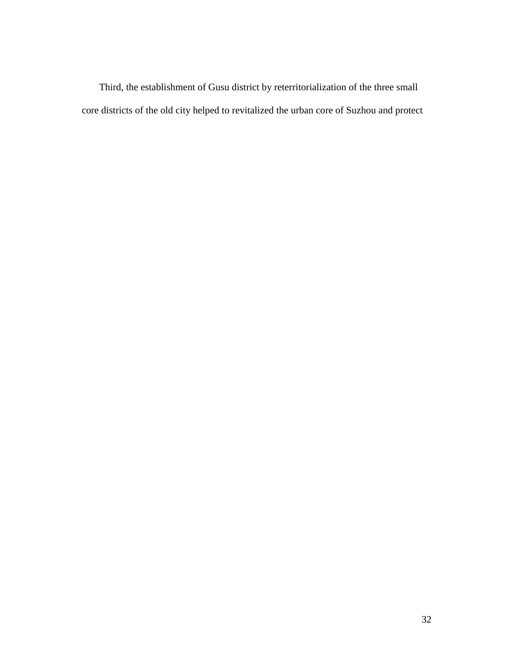Third, the establishment of Gusu district by reterritorialization of the three small core districts of the old city helped to revitalized the urban core of Suzhou and protect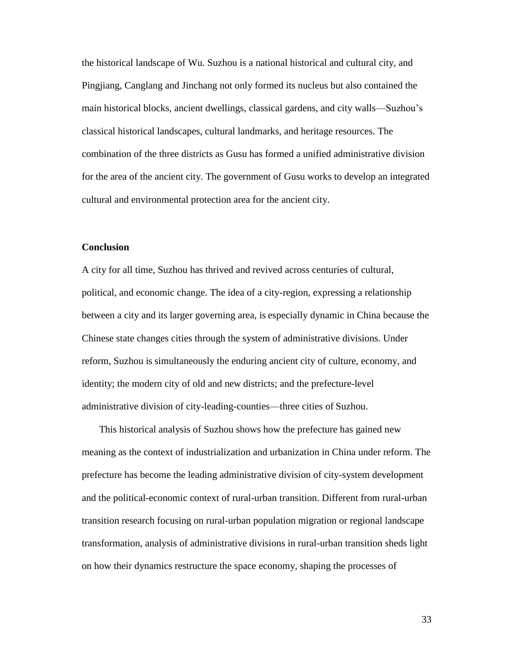the historical landscape of Wu. Suzhou is a national historical and cultural city, and Pingjiang, Canglang and Jinchang not only formed its nucleus but also contained the main historical blocks, ancient dwellings, classical gardens, and city walls—Suzhou's classical historical landscapes, cultural landmarks, and heritage resources. The combination of the three districts as Gusu has formed a unified administrative division for the area of the ancient city. The government of Gusu works to develop an integrated cultural and environmental protection area for the ancient city.

# **Conclusion**

A city for all time, Suzhou has thrived and revived across centuries of cultural, political, and economic change. The idea of a city-region, expressing a relationship between a city and its larger governing area, is especially dynamic in China because the Chinese state changes cities through the system of administrative divisions. Under reform, Suzhou is simultaneously the enduring ancient city of culture, economy, and identity; the modern city of old and new districts; and the prefecture-level administrative division of city-leading-counties—three cities of Suzhou.

This historical analysis of Suzhou shows how the prefecture has gained new meaning as the context of industrialization and urbanization in China under reform. The prefecture has become the leading administrative division of city-system development and the political-economic context of rural-urban transition. Different from rural-urban transition research focusing on rural-urban population migration or regional landscape transformation, analysis of administrative divisions in rural-urban transition sheds light on how their dynamics restructure the space economy, shaping the processes of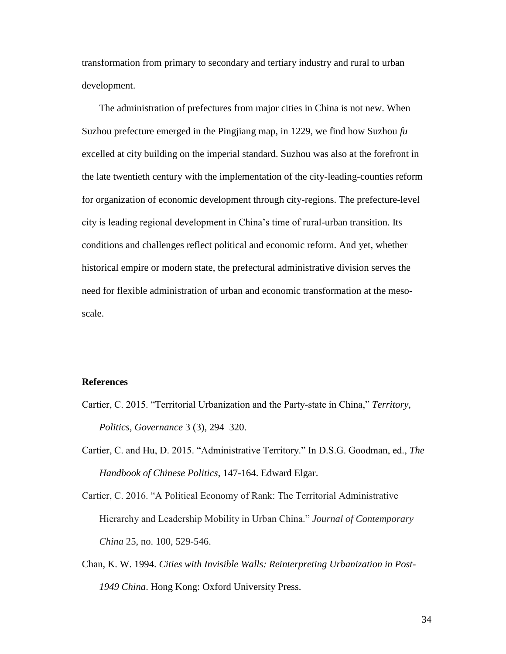transformation from primary to secondary and tertiary industry and rural to urban development.

The administration of prefectures from major cities in China is not new. When Suzhou prefecture emerged in the Pingjiang map, in 1229, we find how Suzhou *fu*  excelled at city building on the imperial standard. Suzhou was also at the forefront in the late twentieth century with the implementation of the city-leading-counties reform for organization of economic development through city-regions. The prefecture-level city is leading regional development in China's time of rural-urban transition. Its conditions and challenges reflect political and economic reform. And yet, whether historical empire or modern state, the prefectural administrative division serves the need for flexible administration of urban and economic transformation at the mesoscale.

# **References**

- Cartier, C. 2015. "Territorial Urbanization and the Party-state in China," *Territory, Politics, Governance* 3 (3), 294–320.
- Cartier, C. and Hu, D. 2015. "Administrative Territory." In D.S.G. Goodman, ed., *The Handbook of Chinese Politics*, 147-164. Edward Elgar.
- Cartier, C. 2016. "A Political Economy of Rank: The Territorial Administrative Hierarchy and Leadership Mobility in Urban China." *Journal of Contemporary China* 25, no. 100, 529-546.
- Chan, K. W. 1994. *Cities with Invisible Walls: Reinterpreting Urbanization in Post-1949 China*. Hong Kong: Oxford University Press.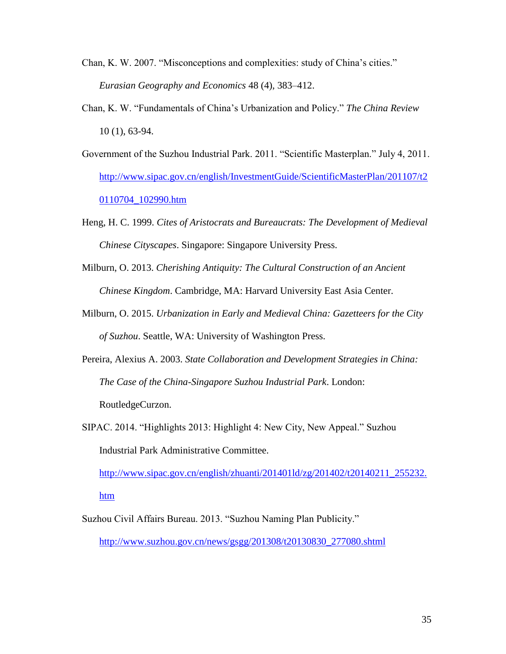- Chan, K. W. 2007. "Misconceptions and complexities: study of China's cities." *Eurasian Geography and Economics* 48 (4), 383–412.
- Chan, K. W. "Fundamentals of China's Urbanization and Policy." *The China Review* 10 (1), 63-94.
- Government of the Suzhou Industrial Park. 2011. "Scientific Masterplan." July 4, 2011. [http://www.sipac.gov.cn/english/InvestmentGuide/ScientificMasterPlan/201107/t2](http://www.sipac.gov.cn/english/InvestmentGuide/ScientificMasterPlan/201107/t20110704_102990.htm) [0110704\\_102990.htm](http://www.sipac.gov.cn/english/InvestmentGuide/ScientificMasterPlan/201107/t20110704_102990.htm)
- Heng, H. C. 1999. *Cites of Aristocrats and Bureaucrats: The Development of Medieval Chinese Cityscapes*. Singapore: Singapore University Press.
- Milburn, O. 2013. *Cherishing Antiquity: The Cultural Construction of an Ancient Chinese Kingdom*. Cambridge, MA: Harvard University East Asia Center.
- Milburn, O. 2015. *Urbanization in Early and Medieval China: Gazetteers for the City of Suzhou*. Seattle, WA: University of Washington Press.
- Pereira, Alexius A. 2003. *State Collaboration and Development Strategies in China: The Case of the China-Singapore Suzhou Industrial Park*. London: RoutledgeCurzon.
- SIPAC. 2014. "Highlights 2013: Highlight 4: New City, New Appeal." Suzhou Industrial Park Administrative Committee.

[http://www.sipac.gov.cn/english/zhuanti/201401ld/zg/201402/t20140211\\_255232.](http://www.sipac.gov.cn/english/zhuanti/201401ld/zg/201402/t20140211_255232.htm) [htm](http://www.sipac.gov.cn/english/zhuanti/201401ld/zg/201402/t20140211_255232.htm)

Suzhou Civil Affairs Bureau. 2013. "Suzhou Naming Plan Publicity." [http://www.suzhou.gov.cn/news/gsgg/201308/t20130830\\_277080.shtml](http://www.suzhou.gov.cn/news/gsgg/201308/t20130830_277080.shtml)